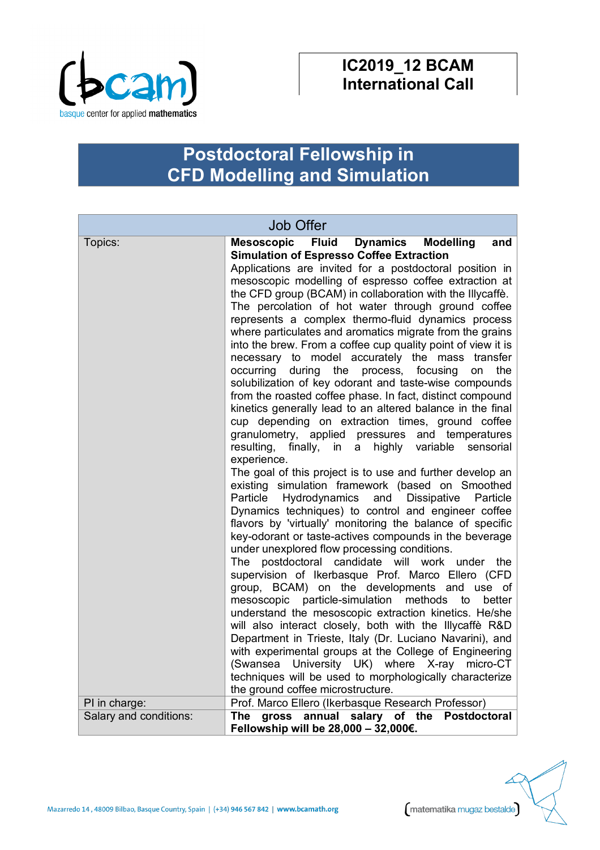

## **IC2019\_12 BCAM International Call**

## **Postdoctoral Fellowship in CFD Modelling and Simulation**

| <b>Job Offer</b>         |                                                                                                                                                                                                                                                                                                                                                                                                                                                                                                                                                                                                                                                                                                                                                                                                                                                                                                                                                                                                                                                                                                                                                                                                                                                                                                                                                                                                                                                                                                                                                                                                                                                                                                                                                                                                                                                                                                                                                                                                                                                                                                                           |
|--------------------------|---------------------------------------------------------------------------------------------------------------------------------------------------------------------------------------------------------------------------------------------------------------------------------------------------------------------------------------------------------------------------------------------------------------------------------------------------------------------------------------------------------------------------------------------------------------------------------------------------------------------------------------------------------------------------------------------------------------------------------------------------------------------------------------------------------------------------------------------------------------------------------------------------------------------------------------------------------------------------------------------------------------------------------------------------------------------------------------------------------------------------------------------------------------------------------------------------------------------------------------------------------------------------------------------------------------------------------------------------------------------------------------------------------------------------------------------------------------------------------------------------------------------------------------------------------------------------------------------------------------------------------------------------------------------------------------------------------------------------------------------------------------------------------------------------------------------------------------------------------------------------------------------------------------------------------------------------------------------------------------------------------------------------------------------------------------------------------------------------------------------------|
| Topics:<br>PI in charge: | Mesoscopic Fluid<br>Dynamics<br><b>Modelling</b><br>and<br><b>Simulation of Espresso Coffee Extraction</b><br>Applications are invited for a postdoctoral position in<br>mesoscopic modelling of espresso coffee extraction at<br>the CFD group (BCAM) in collaboration with the Illycaffe.<br>The percolation of hot water through ground coffee<br>represents a complex thermo-fluid dynamics process<br>where particulates and aromatics migrate from the grains<br>into the brew. From a coffee cup quality point of view it is<br>necessary to model accurately the mass transfer<br>occurring<br>during<br>the<br>focusing<br>the<br>process,<br>on<br>solubilization of key odorant and taste-wise compounds<br>from the roasted coffee phase. In fact, distinct compound<br>kinetics generally lead to an altered balance in the final<br>cup depending on extraction times, ground coffee<br>granulometry, applied pressures and temperatures<br>resulting,<br>finally, in a<br>highly<br>variable<br>sensorial<br>experience.<br>The goal of this project is to use and further develop an<br>existing simulation framework (based on Smoothed<br>Hydrodynamics and Dissipative Particle<br>Particle<br>Dynamics techniques) to control and engineer coffee<br>flavors by 'virtually' monitoring the balance of specific<br>key-odorant or taste-actives compounds in the beverage<br>under unexplored flow processing conditions.<br>postdoctoral candidate will work under the<br><b>The</b><br>supervision of Ikerbasque Prof. Marco Ellero (CFD<br>group, BCAM) on the developments and use of<br>mesoscopic particle-simulation methods<br>to<br>better<br>understand the mesoscopic extraction kinetics. He/she<br>will also interact closely, both with the Illycaffè R&D<br>Department in Trieste, Italy (Dr. Luciano Navarini), and<br>with experimental groups at the College of Engineering<br>(Swansea University UK) where X-ray<br>micro-CT<br>techniques will be used to morphologically characterize<br>the ground coffee microstructure.<br>Prof. Marco Ellero (Ikerbasque Research Professor) |
| Salary and conditions:   | annual salary of the<br>gross<br><b>Postdoctoral</b><br>The<br>Fellowship will be 28,000 - 32,000€.                                                                                                                                                                                                                                                                                                                                                                                                                                                                                                                                                                                                                                                                                                                                                                                                                                                                                                                                                                                                                                                                                                                                                                                                                                                                                                                                                                                                                                                                                                                                                                                                                                                                                                                                                                                                                                                                                                                                                                                                                       |

matematika mugaz bestalde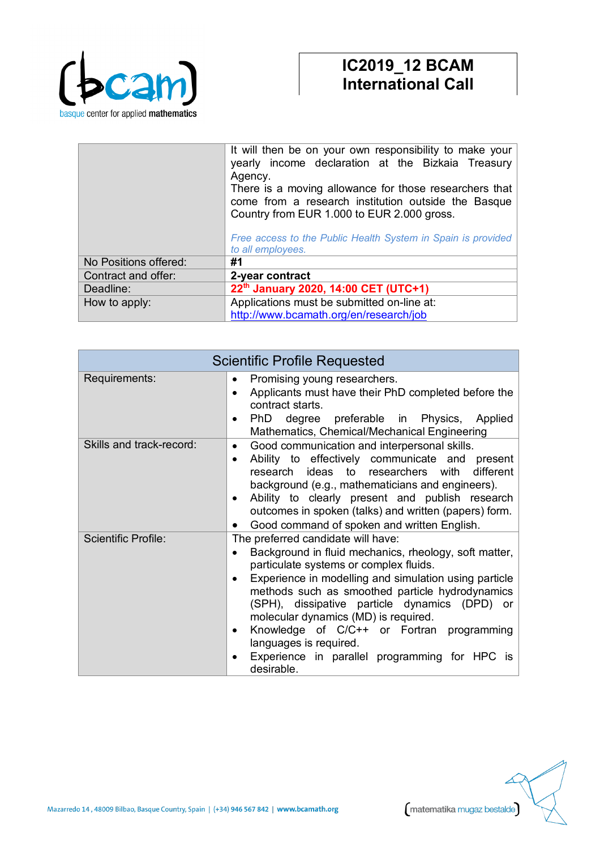

|                       | It will then be on your own responsibility to make your<br>yearly income declaration at the Bizkaia Treasury<br>Agency.<br>There is a moving allowance for those researchers that<br>come from a research institution outside the Basque<br>Country from EUR 1.000 to EUR 2.000 gross.<br>Free access to the Public Health System in Spain is provided<br>to all employees. |
|-----------------------|-----------------------------------------------------------------------------------------------------------------------------------------------------------------------------------------------------------------------------------------------------------------------------------------------------------------------------------------------------------------------------|
| No Positions offered: | #1                                                                                                                                                                                                                                                                                                                                                                          |
| Contract and offer:   | 2-year contract                                                                                                                                                                                                                                                                                                                                                             |
| Deadline:             | 22th January 2020, 14:00 CET (UTC+1)                                                                                                                                                                                                                                                                                                                                        |
| How to apply:         | Applications must be submitted on-line at:                                                                                                                                                                                                                                                                                                                                  |
|                       | http://www.bcamath.org/en/research/job                                                                                                                                                                                                                                                                                                                                      |

| <b>Scientific Profile Requested</b> |                                                                                                                                                                                                                                                                                                                                                                                                                                                                                                                                      |
|-------------------------------------|--------------------------------------------------------------------------------------------------------------------------------------------------------------------------------------------------------------------------------------------------------------------------------------------------------------------------------------------------------------------------------------------------------------------------------------------------------------------------------------------------------------------------------------|
| Requirements:                       | Promising young researchers.<br>٠<br>Applicants must have their PhD completed before the<br>$\bullet$<br>contract starts.<br>PhD<br>degree preferable in Physics, Applied<br>$\bullet$<br>Mathematics, Chemical/Mechanical Engineering                                                                                                                                                                                                                                                                                               |
| Skills and track-record:            | Good communication and interpersonal skills.<br>$\bullet$<br>Ability to effectively communicate and present<br>$\bullet$<br>research ideas to researchers with<br>different<br>background (e.g., mathematicians and engineers).<br>Ability to clearly present and publish research<br>$\bullet$<br>outcomes in spoken (talks) and written (papers) form.<br>Good command of spoken and written English.                                                                                                                              |
| <b>Scientific Profile:</b>          | The preferred candidate will have:<br>Background in fluid mechanics, rheology, soft matter,<br>$\bullet$<br>particulate systems or complex fluids.<br>Experience in modelling and simulation using particle<br>$\bullet$<br>methods such as smoothed particle hydrodynamics<br>(SPH), dissipative particle dynamics (DPD) or<br>molecular dynamics (MD) is required.<br>Knowledge of C/C++ or Fortran programming<br>$\bullet$<br>languages is required.<br>Experience in parallel programming for HPC is<br>$\bullet$<br>desirable. |

matematika mugaz bestalde Mazarredo 14, 48009 Bilbao, Basque Country, Spain | (+34) 946 567 842 | www.bcamath.org